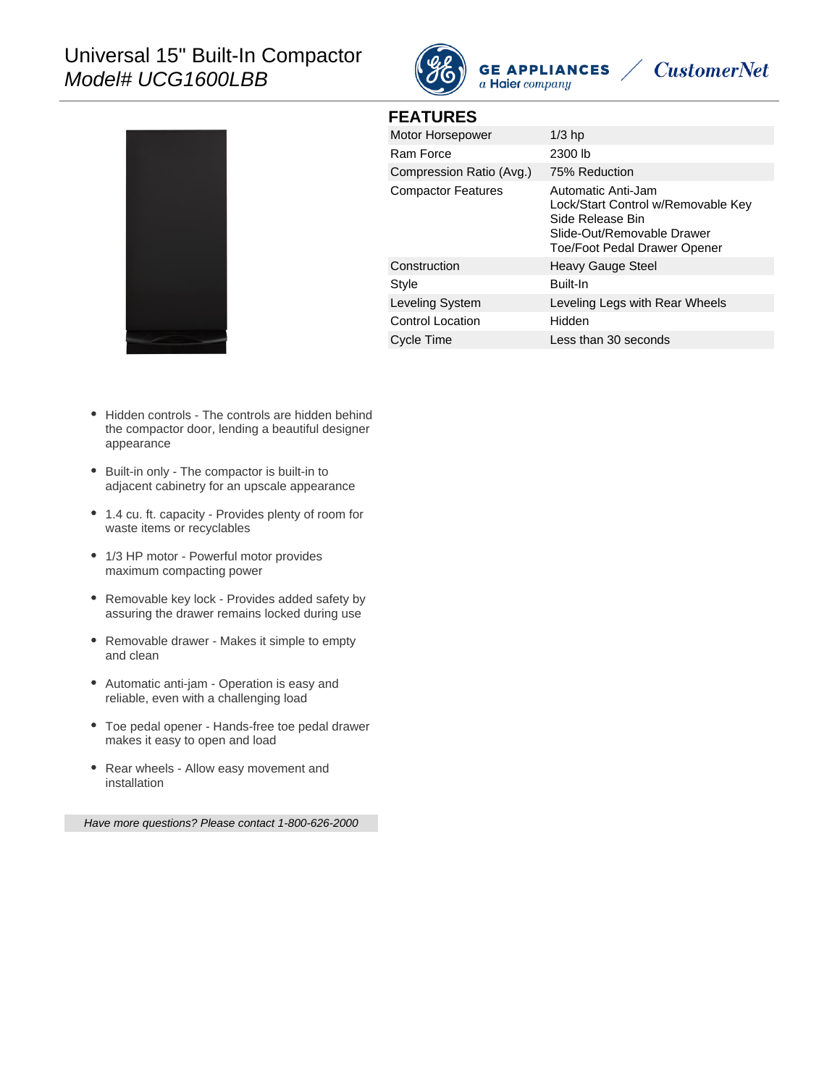# Universal 15" Built-In Compactor Model# UCG1600LBB



**FEATURES**

**CustomerNet** 



| 1 LAIVILU                 |                                                                                                                                            |
|---------------------------|--------------------------------------------------------------------------------------------------------------------------------------------|
| Motor Horsepower          | $1/3$ hp                                                                                                                                   |
| Ram Force                 | 2300 lb                                                                                                                                    |
| Compression Ratio (Avg.)  | 75% Reduction                                                                                                                              |
| <b>Compactor Features</b> | Automatic Anti-Jam<br>Lock/Start Control w/Removable Key<br>Side Release Bin<br>Slide-Out/Removable Drawer<br>Toe/Foot Pedal Drawer Opener |
| Construction              | Heavy Gauge Steel                                                                                                                          |
| Style                     | Built-In                                                                                                                                   |
| Leveling System           | Leveling Legs with Rear Wheels                                                                                                             |
| Control Location          | Hidden                                                                                                                                     |
| Cycle Time                | Less than 30 seconds                                                                                                                       |

- Hidden controls The controls are hidden behind the compactor door, lending a beautiful designer appearance
- Built-in only The compactor is built-in to adjacent cabinetry for an upscale appearance
- 1.4 cu. ft. capacity Provides plenty of room for waste items or recyclables
- 1/3 HP motor Powerful motor provides maximum compacting power
- Removable key lock Provides added safety by assuring the drawer remains locked during use
- Removable drawer Makes it simple to empty and clean
- Automatic anti-jam Operation is easy and reliable, even with a challenging load
- Toe pedal opener Hands-free toe pedal drawer makes it easy to open and load
- Rear wheels Allow easy movement and installation

Have more questions? Please contact 1-800-626-2000